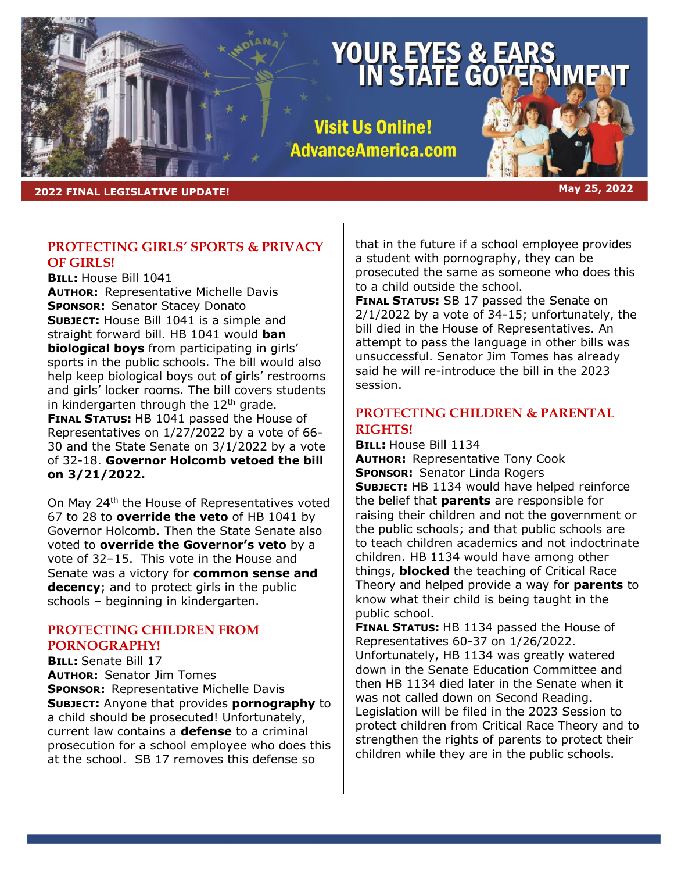# **YOUR EYES &<br>IN STATE G**

**Visit Us Online! AdvanceAmerica.com** 

**2022 FINAL LEGISLATIVE UPDATE! May 25, 2022**

# **PROTECTING GIRLS' SPORTS & PRIVACY OF GIRLS!**

**BILL:** House Bill 1041 **AUTHOR:** Representative Michelle Davis **SPONSOR:** Senator Stacey Donato **SUBJECT:** House Bill 1041 is a simple and straight forward bill. HB 1041 would **ban biological boys** from participating in girls' sports in the public schools. The bill would also help keep biological boys out of girls' restrooms and girls' locker rooms. The bill covers students in kindergarten through the  $12<sup>th</sup>$  grade. **FINAL STATUS:** HB 1041 passed the House of Representatives on 1/27/2022 by a vote of 66- 30 and the State Senate on 3/1/2022 by a vote of 32-18. **Governor Holcomb vetoed the bill on 3/21/2022.**

On May 24<sup>th</sup> the House of Representatives voted 67 to 28 to **override the veto** of HB 1041 by Governor Holcomb. Then the State Senate also voted to **override the Governor's veto** by a vote of 32–15. This vote in the House and Senate was a victory for **common sense and decency**; and to protect girls in the public schools – beginning in kindergarten.

# **PROTECTING CHILDREN FROM PORNOGRAPHY!**

**BILL:** Senate Bill 17 **AUTHOR:** Senator Jim Tomes **SPONSOR:** Representative Michelle Davis **SUBJECT:** Anyone that provides **pornography** to a child should be prosecuted! Unfortunately, current law contains a **defense** to a criminal prosecution for a school employee who does this at the school. SB 17 removes this defense so

that in the future if a school employee provides a student with pornography, they can be prosecuted the same as someone who does this to a child outside the school.

**FINAL STATUS:** SB 17 passed the Senate on 2/1/2022 by a vote of 34-15; unfortunately, the bill died in the House of Representatives. An attempt to pass the language in other bills was unsuccessful. Senator Jim Tomes has already said he will re-introduce the bill in the 2023 session.

# **PROTECTING CHILDREN & PARENTAL RIGHTS!**

**BILL:** House Bill 1134

**AUTHOR:** Representative Tony Cook **SPONSOR:** Senator Linda Rogers **SUBJECT:** HB 1134 would have helped reinforce the belief that **parents** are responsible for raising their children and not the government or the public schools; and that public schools are to teach children academics and not indoctrinate children. HB 1134 would have among other things, **blocked** the teaching of Critical Race Theory and helped provide a way for **parents** to know what their child is being taught in the public school.

**FINAL STATUS:** HB 1134 passed the House of Representatives 60-37 on 1/26/2022. Unfortunately, HB 1134 was greatly watered down in the Senate Education Committee and then HB 1134 died later in the Senate when it was not called down on Second Reading. Legislation will be filed in the 2023 Session to protect children from Critical Race Theory and to strengthen the rights of parents to protect their children while they are in the public schools.